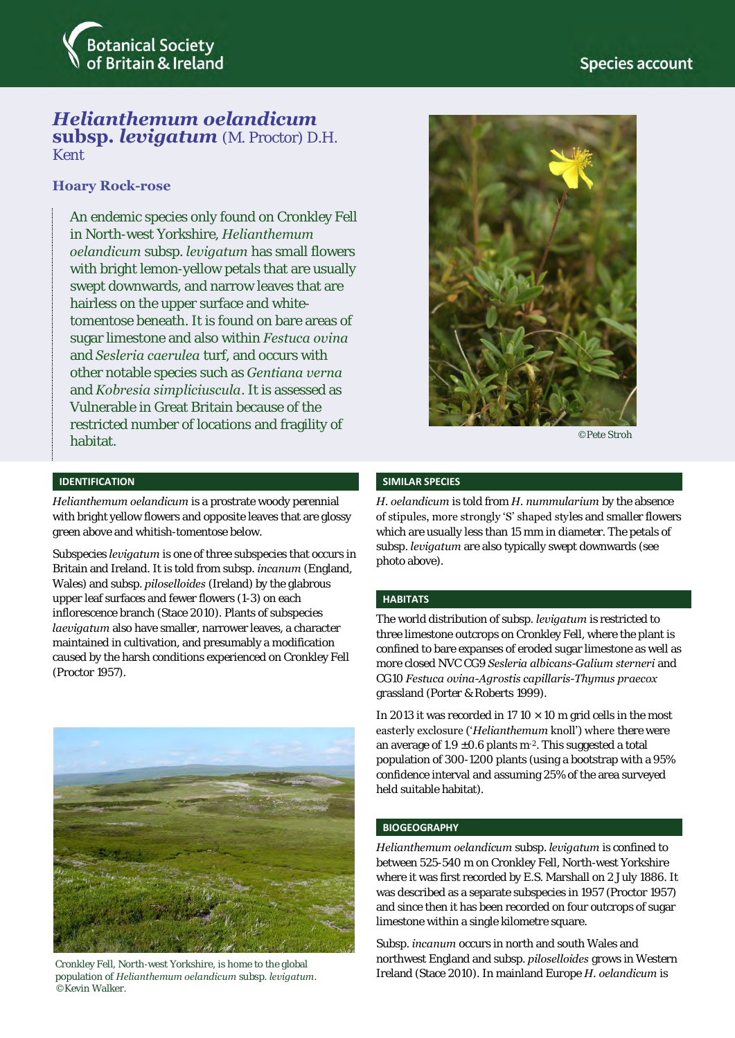

# *Helianthemum oelandicum*  **subsp.** *levigatum* (M. Proctor) D.H. Kent

## **Hoary Rock-rose**

An endemic species only found on Cronkley Fell in North-west Yorkshire, *Helianthemum oelandicum* subsp. *levigatum* has small flowers with bright lemon-yellow petals that are usually swept downwards, and narrow leaves that are hairless on the upper surface and whitetomentose beneath. It is found on bare areas of sugar limestone and also within *Festuca ovina*  and *Sesleria caerulea* turf, and occurs with other notable species such as *Gentiana verna* and *Kobresia simpliciuscula*. It is assessed as Vulnerable in Great Britain because of the restricted number of locations and fragility of habitat.



©Pete Stroh

#### **IDENTIFICATION**

*Helianthemum oelandicum* is a prostrate woody perennial with bright yellow flowers and opposite leaves that are glossy green above and whitish-tomentose below.

Subspecies *levigatum* is one of three subspecies that occurs in Britain and Ireland. It is told from subsp. *incanum* (England, Wales) and subsp. *piloselloides* (Ireland) by the glabrous upper leaf surfaces and fewer flowers (1-3) on each inflorescence branch (Stace 2010). Plants of subspecies *laevigatum* also have smaller, narrower leaves, a character maintained in cultivation, and presumably a modification caused by the harsh conditions experienced on Cronkley Fell (Proctor 1957).



Cronkley Fell, North-west Yorkshire, is home to the global population of *Helianthemum oelandicum* subsp. *levigatum*. ©Kevin Walker.

#### **SIMILAR SPECIES**

*H. oelandicum* is told from *H. nummularium* by the absence of stipules, more strongly 'S' shaped styles and smaller flowers which are usually less than 15 mm in diameter. The petals of subsp. *levigatum* are also typically swept downwards (see photo above).

## **HABITATS**

The world distribution of subsp. *levigatum* is restricted to three limestone outcrops on Cronkley Fell, where the plant is confined to bare expanses of eroded sugar limestone as well as more closed NVC CG9 *Sesleria albicans-Galium sterneri* and CG10 *Festuca ovina-Agrostis capillaris-Thymus praecox* grassland (Porter & Roberts 1999).

In 2013 it was recorded in 17 10  $\times$  10 m grid cells in the most easterly exclosure ('*Helianthemum* knoll') where there were an average of 1.9  $\pm$ 0.6 plants m<sup>-2</sup>. This suggested a total population of 300-1200 plants (using a bootstrap with a 95% confidence interval and assuming 25% of the area surveyed held suitable habitat).

#### **BIOGEOGRAPHY**

*Helianthemum oelandicum* subsp. *levigatum* is confined to between 525-540 m on Cronkley Fell, North-west Yorkshire where it was first recorded by E.S. Marshall on 2 July 1886. It was described as a separate subspecies in 1957 (Proctor 1957) and since then it has been recorded on four outcrops of sugar limestone within a single kilometre square.

Subsp. *incanum* occurs in north and south Wales and northwest England and subsp. *piloselloides* grows in Western Ireland (Stace 2010). In mainland Europe *H. oelandicum* is